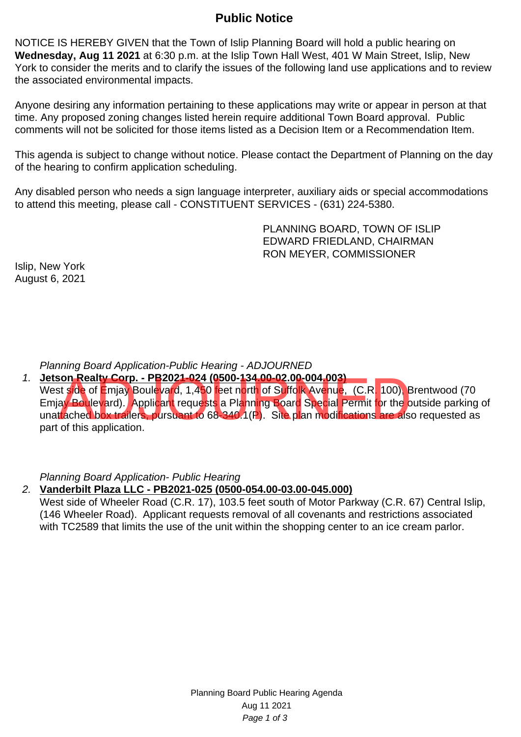## **Public Notice**

NOTICE IS HEREBY GIVEN that the Town of Islip Planning Board will hold a public hearing on **Wednesday, Aug 11 2021** at 6:30 p.m. at the Islip Town Hall West, 401 W Main Street, Islip, New York to consider the merits and to clarify the issues of the following land use applications and to review the associated environmental impacts.

Anyone desiring any information pertaining to these applications may write or appear in person at that time. Any proposed zoning changes listed herein require additional Town Board approval. Public comments will not be solicited for those items listed as a Decision Item or a Recommendation Item.

This agenda is subject to change without notice. Please contact the Department of Planning on the day of the hearing to confirm application scheduling.

Any disabled person who needs a sign language interpreter, auxiliary aids or special accommodations to attend this meeting, please call - CONSTITUENT SERVICES - (631) 224-5380.

> PLANNING BOARD, TOWN OF ISLIP EDWARD FRIEDLAND, CHAIRMAN RON MEYER, COMMISSIONER

Islip, New York August 6, 2021

Planning Board Application-Public Hearing - ADJOURNED

1. **Jetson Realty Corp. - PB2021-024 (0500-134.00-02.00-004.003)** West side of Emjay Boulevard, 1,450 feet north of Suffolk Avenue, (C.R. 100), Brentwood (70 Emjay Boulevard). Applicant requests a Planning Board Special Permit for the outside parking of unattached box trailers, pursuant to 68-340.1(P). Site plan modifications are also requested as part of this application. son Realty Corp. - PB2021-024 (0500-134.00-02.00-004.003)<br>st side of Emjay Boulevard, 1,450 feet north of Suffolk Avenue, (C.R. 100), Eay Boulevard). Applicant requests a Planning Board Special Permit for the c<br>trached box

Planning Board Application- Public Hearing

2. **Vanderbilt Plaza LLC - PB2021-025 (0500-054.00-03.00-045.000)**

West side of Wheeler Road (C.R. 17), 103.5 feet south of Motor Parkway (C.R. 67) Central Islip, (146 Wheeler Road). Applicant requests removal of all covenants and restrictions associated with TC2589 that limits the use of the unit within the shopping center to an ice cream parlor.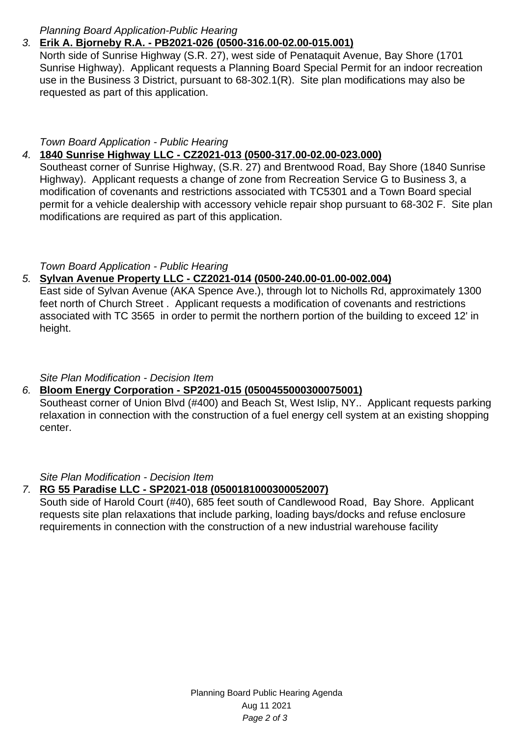### Planning Board Application-Public Hearing

# 3. **Erik A. Bjorneby R.A. - PB2021-026 (0500-316.00-02.00-015.001)**

North side of Sunrise Highway (S.R. 27), west side of Penataquit Avenue, Bay Shore (1701 Sunrise Highway). Applicant requests a Planning Board Special Permit for an indoor recreation use in the Business 3 District, pursuant to 68-302.1(R). Site plan modifications may also be requested as part of this application.

### Town Board Application - Public Hearing

# 4. **1840 Sunrise Highway LLC - CZ2021-013 (0500-317.00-02.00-023.000)**

Southeast corner of Sunrise Highway, (S.R. 27) and Brentwood Road, Bay Shore (1840 Sunrise Highway). Applicant requests a change of zone from Recreation Service G to Business 3, a modification of covenants and restrictions associated with TC5301 and a Town Board special permit for a vehicle dealership with accessory vehicle repair shop pursuant to 68-302 F. Site plan modifications are required as part of this application.

### Town Board Application - Public Hearing

### 5. **Sylvan Avenue Property LLC - CZ2021-014 (0500-240.00-01.00-002.004)**

East side of Sylvan Avenue (AKA Spence Ave.), through lot to Nicholls Rd, approximately 1300 feet north of Church Street . Applicant requests a modification of covenants and restrictions associated with TC 3565 in order to permit the northern portion of the building to exceed 12' in height.

### Site Plan Modification - Decision Item

### 6. **Bloom Energy Corporation - SP2021-015 (0500455000300075001)**

Southeast corner of Union Blvd (#400) and Beach St, West Islip, NY.. Applicant requests parking relaxation in connection with the construction of a fuel energy cell system at an existing shopping center.

### Site Plan Modification - Decision Item

## 7. **RG 55 Paradise LLC - SP2021-018 (0500181000300052007)**

South side of Harold Court (#40), 685 feet south of Candlewood Road, Bay Shore. Applicant requests site plan relaxations that include parking, loading bays/docks and refuse enclosure requirements in connection with the construction of a new industrial warehouse facility